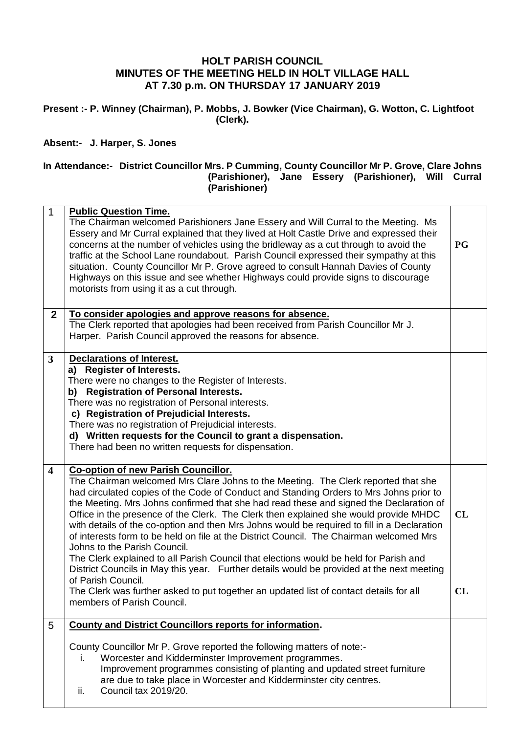## **HOLT PARISH COUNCIL MINUTES OF THE MEETING HELD IN HOLT VILLAGE HALL AT 7.30 p.m. ON THURSDAY 17 JANUARY 2019**

**Present :- P. Winney (Chairman), P. Mobbs, J. Bowker (Vice Chairman), G. Wotton, C. Lightfoot (Clerk).**

## **Absent:- J. Harper, S. Jones**

## **In Attendance:- District Councillor Mrs. P Cumming, County Councillor Mr P. Grove, Clare Johns (Parishioner), Jane Essery (Parishioner), Will Curral (Parishioner)**

| $\mathbf{1}$            | <b>Public Question Time.</b><br>The Chairman welcomed Parishioners Jane Essery and Will Curral to the Meeting. Ms<br>Essery and Mr Curral explained that they lived at Holt Castle Drive and expressed their<br>concerns at the number of vehicles using the bridleway as a cut through to avoid the<br>traffic at the School Lane roundabout. Parish Council expressed their sympathy at this<br>situation. County Councillor Mr P. Grove agreed to consult Hannah Davies of County<br>Highways on this issue and see whether Highways could provide signs to discourage<br>motorists from using it as a cut through. | <b>PG</b> |
|-------------------------|------------------------------------------------------------------------------------------------------------------------------------------------------------------------------------------------------------------------------------------------------------------------------------------------------------------------------------------------------------------------------------------------------------------------------------------------------------------------------------------------------------------------------------------------------------------------------------------------------------------------|-----------|
| $\overline{2}$          | To consider apologies and approve reasons for absence.                                                                                                                                                                                                                                                                                                                                                                                                                                                                                                                                                                 |           |
|                         | The Clerk reported that apologies had been received from Parish Councillor Mr J.                                                                                                                                                                                                                                                                                                                                                                                                                                                                                                                                       |           |
|                         | Harper. Parish Council approved the reasons for absence.                                                                                                                                                                                                                                                                                                                                                                                                                                                                                                                                                               |           |
|                         |                                                                                                                                                                                                                                                                                                                                                                                                                                                                                                                                                                                                                        |           |
| $\mathbf{3}$            | <b>Declarations of Interest.</b>                                                                                                                                                                                                                                                                                                                                                                                                                                                                                                                                                                                       |           |
|                         | a) Register of Interests.                                                                                                                                                                                                                                                                                                                                                                                                                                                                                                                                                                                              |           |
|                         | There were no changes to the Register of Interests.                                                                                                                                                                                                                                                                                                                                                                                                                                                                                                                                                                    |           |
|                         | <b>Registration of Personal Interests.</b><br>b)<br>There was no registration of Personal interests.                                                                                                                                                                                                                                                                                                                                                                                                                                                                                                                   |           |
|                         | c) Registration of Prejudicial Interests.                                                                                                                                                                                                                                                                                                                                                                                                                                                                                                                                                                              |           |
|                         | There was no registration of Prejudicial interests.                                                                                                                                                                                                                                                                                                                                                                                                                                                                                                                                                                    |           |
|                         | d) Written requests for the Council to grant a dispensation.                                                                                                                                                                                                                                                                                                                                                                                                                                                                                                                                                           |           |
|                         | There had been no written requests for dispensation.                                                                                                                                                                                                                                                                                                                                                                                                                                                                                                                                                                   |           |
|                         |                                                                                                                                                                                                                                                                                                                                                                                                                                                                                                                                                                                                                        |           |
| $\overline{\mathbf{4}}$ | <b>Co-option of new Parish Councillor.</b>                                                                                                                                                                                                                                                                                                                                                                                                                                                                                                                                                                             |           |
|                         | The Chairman welcomed Mrs Clare Johns to the Meeting. The Clerk reported that she                                                                                                                                                                                                                                                                                                                                                                                                                                                                                                                                      |           |
|                         | had circulated copies of the Code of Conduct and Standing Orders to Mrs Johns prior to                                                                                                                                                                                                                                                                                                                                                                                                                                                                                                                                 |           |
|                         | the Meeting. Mrs Johns confirmed that she had read these and signed the Declaration of                                                                                                                                                                                                                                                                                                                                                                                                                                                                                                                                 |           |
|                         | Office in the presence of the Clerk. The Clerk then explained she would provide MHDC                                                                                                                                                                                                                                                                                                                                                                                                                                                                                                                                   | CL        |
|                         | with details of the co-option and then Mrs Johns would be required to fill in a Declaration<br>of interests form to be held on file at the District Council. The Chairman welcomed Mrs                                                                                                                                                                                                                                                                                                                                                                                                                                 |           |
|                         | Johns to the Parish Council.                                                                                                                                                                                                                                                                                                                                                                                                                                                                                                                                                                                           |           |
|                         | The Clerk explained to all Parish Council that elections would be held for Parish and                                                                                                                                                                                                                                                                                                                                                                                                                                                                                                                                  |           |
|                         | District Councils in May this year. Further details would be provided at the next meeting                                                                                                                                                                                                                                                                                                                                                                                                                                                                                                                              |           |
|                         | of Parish Council.                                                                                                                                                                                                                                                                                                                                                                                                                                                                                                                                                                                                     |           |
|                         | The Clerk was further asked to put together an updated list of contact details for all                                                                                                                                                                                                                                                                                                                                                                                                                                                                                                                                 | CL        |
|                         | members of Parish Council.                                                                                                                                                                                                                                                                                                                                                                                                                                                                                                                                                                                             |           |
|                         |                                                                                                                                                                                                                                                                                                                                                                                                                                                                                                                                                                                                                        |           |
| 5                       | <b>County and District Councillors reports for information.</b>                                                                                                                                                                                                                                                                                                                                                                                                                                                                                                                                                        |           |
|                         |                                                                                                                                                                                                                                                                                                                                                                                                                                                                                                                                                                                                                        |           |
|                         | County Councillor Mr P. Grove reported the following matters of note:-                                                                                                                                                                                                                                                                                                                                                                                                                                                                                                                                                 |           |
|                         | Worcester and Kidderminster Improvement programmes.<br>Ι.                                                                                                                                                                                                                                                                                                                                                                                                                                                                                                                                                              |           |
|                         | Improvement programmes consisting of planting and updated street furniture<br>are due to take place in Worcester and Kidderminster city centres.                                                                                                                                                                                                                                                                                                                                                                                                                                                                       |           |
|                         | Council tax 2019/20.<br>ii.                                                                                                                                                                                                                                                                                                                                                                                                                                                                                                                                                                                            |           |
|                         |                                                                                                                                                                                                                                                                                                                                                                                                                                                                                                                                                                                                                        |           |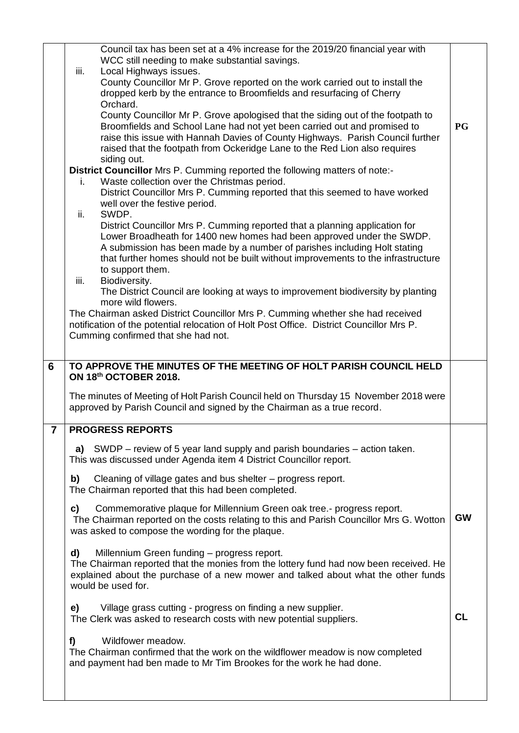|                 | Council tax has been set at a 4% increase for the 2019/20 financial year with<br>WCC still needing to make substantial savings.<br>iii.<br>Local Highways issues.<br>County Councillor Mr P. Grove reported on the work carried out to install the<br>dropped kerb by the entrance to Broomfields and resurfacing of Cherry             |           |
|-----------------|-----------------------------------------------------------------------------------------------------------------------------------------------------------------------------------------------------------------------------------------------------------------------------------------------------------------------------------------|-----------|
|                 | Orchard.<br>County Councillor Mr P. Grove apologised that the siding out of the footpath to<br>Broomfields and School Lane had not yet been carried out and promised to<br>raise this issue with Hannah Davies of County Highways. Parish Council further<br>raised that the footpath from Ockeridge Lane to the Red Lion also requires | <b>PG</b> |
|                 | siding out.<br>District Councillor Mrs P. Cumming reported the following matters of note:-<br>Waste collection over the Christmas period.<br>i.<br>District Councillor Mrs P. Cumming reported that this seemed to have worked<br>well over the festive period.                                                                         |           |
|                 | SWDP.<br>ii.<br>District Councillor Mrs P. Cumming reported that a planning application for<br>Lower Broadheath for 1400 new homes had been approved under the SWDP.<br>A submission has been made by a number of parishes including Holt stating<br>that further homes should not be built without improvements to the infrastructure  |           |
|                 | to support them.<br>iii.<br>Biodiversity.<br>The District Council are looking at ways to improvement biodiversity by planting<br>more wild flowers.<br>The Chairman asked District Councillor Mrs P. Cumming whether she had received<br>notification of the potential relocation of Holt Post Office. District Councillor Mrs P.       |           |
|                 | Cumming confirmed that she had not.                                                                                                                                                                                                                                                                                                     |           |
| $6\phantom{1}6$ | TO APPROVE THE MINUTES OF THE MEETING OF HOLT PARISH COUNCIL HELD<br>ON 18th OCTOBER 2018.                                                                                                                                                                                                                                              |           |
|                 | The minutes of Meeting of Holt Parish Council held on Thursday 15 November 2018 were<br>approved by Parish Council and signed by the Chairman as a true record.                                                                                                                                                                         |           |
| $\overline{7}$  | <b>PROGRESS REPORTS</b>                                                                                                                                                                                                                                                                                                                 |           |
|                 | a) SWDP – review of 5 year land supply and parish boundaries – action taken.<br>This was discussed under Agenda item 4 District Councillor report.                                                                                                                                                                                      |           |
|                 | Cleaning of village gates and bus shelter – progress report.<br>b)<br>The Chairman reported that this had been completed.                                                                                                                                                                                                               |           |
|                 | Commemorative plaque for Millennium Green oak tree.- progress report.<br>C)<br>The Chairman reported on the costs relating to this and Parish Councillor Mrs G. Wotton<br>was asked to compose the wording for the plaque.                                                                                                              | <b>GW</b> |
|                 | d)<br>Millennium Green funding - progress report.<br>The Chairman reported that the monies from the lottery fund had now been received. He<br>explained about the purchase of a new mower and talked about what the other funds<br>would be used for.                                                                                   |           |
|                 | Village grass cutting - progress on finding a new supplier.<br>e)<br>The Clerk was asked to research costs with new potential suppliers.                                                                                                                                                                                                | <b>CL</b> |
|                 |                                                                                                                                                                                                                                                                                                                                         |           |
|                 | Wildfower meadow.<br>f)<br>The Chairman confirmed that the work on the wildflower meadow is now completed<br>and payment had ben made to Mr Tim Brookes for the work he had done.                                                                                                                                                       |           |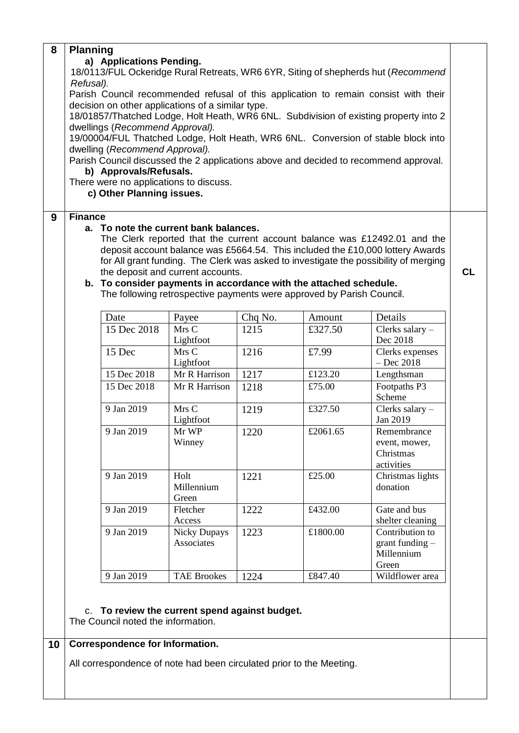| 8 | <b>Planning</b>                                                                                                                            |                                                                   |                                                                       |         |          |                                                                                      |  |  |  |
|---|--------------------------------------------------------------------------------------------------------------------------------------------|-------------------------------------------------------------------|-----------------------------------------------------------------------|---------|----------|--------------------------------------------------------------------------------------|--|--|--|
|   | a) Applications Pending.                                                                                                                   |                                                                   |                                                                       |         |          |                                                                                      |  |  |  |
|   | 18/0113/FUL Ockeridge Rural Retreats, WR6 6YR, Siting of shepherds hut (Recommend                                                          |                                                                   |                                                                       |         |          |                                                                                      |  |  |  |
|   | Refusal).                                                                                                                                  |                                                                   |                                                                       |         |          |                                                                                      |  |  |  |
|   | Parish Council recommended refusal of this application to remain consist with their                                                        |                                                                   |                                                                       |         |          |                                                                                      |  |  |  |
|   | decision on other applications of a similar type.<br>18/01857/Thatched Lodge, Holt Heath, WR6 6NL. Subdivision of existing property into 2 |                                                                   |                                                                       |         |          |                                                                                      |  |  |  |
|   |                                                                                                                                            |                                                                   |                                                                       |         |          |                                                                                      |  |  |  |
|   | dwellings (Recommend Approval).<br>19/00004/FUL Thatched Lodge, Holt Heath, WR6 6NL. Conversion of stable block into                       |                                                                   |                                                                       |         |          |                                                                                      |  |  |  |
|   |                                                                                                                                            |                                                                   |                                                                       |         |          |                                                                                      |  |  |  |
|   | dwelling (Recommend Approval).<br>Parish Council discussed the 2 applications above and decided to recommend approval.                     |                                                                   |                                                                       |         |          |                                                                                      |  |  |  |
|   |                                                                                                                                            | b) Approvals/Refusals.                                            |                                                                       |         |          |                                                                                      |  |  |  |
|   |                                                                                                                                            | There were no applications to discuss.                            |                                                                       |         |          |                                                                                      |  |  |  |
|   |                                                                                                                                            | c) Other Planning issues.                                         |                                                                       |         |          |                                                                                      |  |  |  |
|   |                                                                                                                                            |                                                                   |                                                                       |         |          |                                                                                      |  |  |  |
| 9 | <b>Finance</b>                                                                                                                             | a. To note the current bank balances.                             |                                                                       |         |          |                                                                                      |  |  |  |
|   |                                                                                                                                            |                                                                   |                                                                       |         |          | The Clerk reported that the current account balance was £12492.01 and the            |  |  |  |
|   |                                                                                                                                            |                                                                   |                                                                       |         |          | deposit account balance was £5664.54. This included the £10,000 lottery Awards       |  |  |  |
|   |                                                                                                                                            |                                                                   |                                                                       |         |          | for All grant funding. The Clerk was asked to investigate the possibility of merging |  |  |  |
|   |                                                                                                                                            |                                                                   | the deposit and current accounts.                                     |         |          |                                                                                      |  |  |  |
|   |                                                                                                                                            | b. To consider payments in accordance with the attached schedule. |                                                                       |         |          |                                                                                      |  |  |  |
|   |                                                                                                                                            |                                                                   | The following retrospective payments were approved by Parish Council. |         |          |                                                                                      |  |  |  |
|   |                                                                                                                                            |                                                                   |                                                                       |         |          |                                                                                      |  |  |  |
|   |                                                                                                                                            |                                                                   |                                                                       |         |          |                                                                                      |  |  |  |
|   |                                                                                                                                            | Date                                                              | Payee                                                                 | Chq No. | Amount   | Details                                                                              |  |  |  |
|   |                                                                                                                                            | 15 Dec 2018                                                       | Mrs C                                                                 | 1215    | £327.50  | Clerks salary $-$                                                                    |  |  |  |
|   |                                                                                                                                            |                                                                   | Lightfoot                                                             |         |          | Dec 2018                                                                             |  |  |  |
|   |                                                                                                                                            | 15 Dec                                                            | Mrs C<br>Lightfoot                                                    | 1216    | £7.99    | Clerks expenses<br>$-$ Dec 2018                                                      |  |  |  |
|   |                                                                                                                                            | 15 Dec 2018                                                       | Mr R Harrison                                                         | 1217    | £123.20  | Lengthsman                                                                           |  |  |  |
|   |                                                                                                                                            | 15 Dec 2018                                                       | Mr R Harrison                                                         | 1218    | £75.00   | Footpaths P3                                                                         |  |  |  |
|   |                                                                                                                                            |                                                                   |                                                                       |         |          | Scheme                                                                               |  |  |  |
|   |                                                                                                                                            | 9 Jan 2019                                                        | Mrs C                                                                 | 1219    | £327.50  | Clerks salary -                                                                      |  |  |  |
|   |                                                                                                                                            |                                                                   | Lightfoot                                                             |         |          | Jan 2019                                                                             |  |  |  |
|   |                                                                                                                                            | 9 Jan 2019                                                        | Mr WP                                                                 | 1220    | £2061.65 | Remembrance                                                                          |  |  |  |
|   |                                                                                                                                            |                                                                   | Winney                                                                |         |          | event, mower,                                                                        |  |  |  |
|   |                                                                                                                                            |                                                                   |                                                                       |         |          | Christmas                                                                            |  |  |  |
|   |                                                                                                                                            | 9 Jan 2019                                                        | Holt                                                                  |         | £25.00   | activities                                                                           |  |  |  |
|   |                                                                                                                                            |                                                                   | Millennium                                                            | 1221    |          | Christmas lights<br>donation                                                         |  |  |  |
|   |                                                                                                                                            |                                                                   | Green                                                                 |         |          |                                                                                      |  |  |  |
|   |                                                                                                                                            | 9 Jan 2019                                                        | Fletcher                                                              | 1222    | £432.00  | Gate and bus                                                                         |  |  |  |
|   |                                                                                                                                            |                                                                   | Access                                                                |         |          | shelter cleaning                                                                     |  |  |  |
|   |                                                                                                                                            | 9 Jan 2019                                                        | <b>Nicky Dupays</b>                                                   | 1223    | £1800.00 | Contribution to                                                                      |  |  |  |
|   |                                                                                                                                            |                                                                   | Associates                                                            |         |          | grant funding $-$                                                                    |  |  |  |
|   |                                                                                                                                            |                                                                   |                                                                       |         |          | Millennium                                                                           |  |  |  |
|   |                                                                                                                                            | 9 Jan 2019                                                        | <b>TAE Brookes</b>                                                    | 1224    | £847.40  | Green<br>Wildflower area                                                             |  |  |  |

## **10 Correspondence for Information.**

All correspondence of note had been circulated prior to the Meeting.